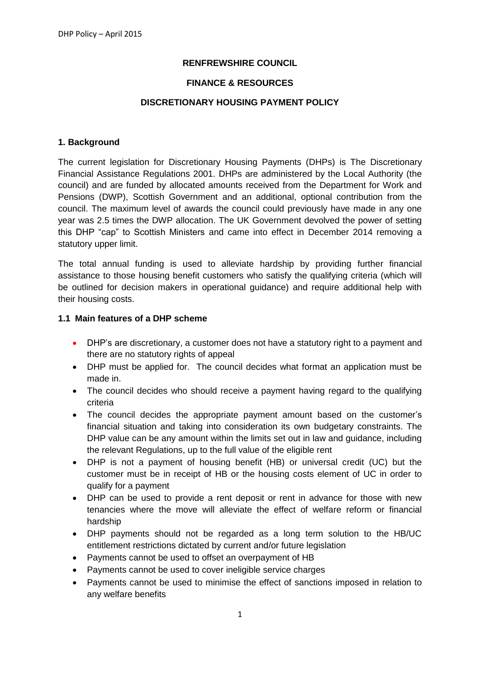### **RENFREWSHIRE COUNCIL**

#### **FINANCE & RESOURCES**

#### **DISCRETIONARY HOUSING PAYMENT POLICY**

#### **1. Background**

The current legislation for Discretionary Housing Payments (DHPs) is The Discretionary Financial Assistance Regulations 2001. DHPs are administered by the Local Authority (the council) and are funded by allocated amounts received from the Department for Work and Pensions (DWP), Scottish Government and an additional, optional contribution from the council. The maximum level of awards the council could previously have made in any one year was 2.5 times the DWP allocation. The UK Government devolved the power of setting this DHP "cap" to Scottish Ministers and came into effect in December 2014 removing a statutory upper limit.

The total annual funding is used to alleviate hardship by providing further financial assistance to those housing benefit customers who satisfy the qualifying criteria (which will be outlined for decision makers in operational guidance) and require additional help with their housing costs.

#### **1.1 Main features of a DHP scheme**

- DHP's are discretionary, a customer does not have a statutory right to a payment and there are no statutory rights of appeal
- DHP must be applied for. The council decides what format an application must be made in.
- The council decides who should receive a payment having regard to the qualifying criteria
- The council decides the appropriate payment amount based on the customer's financial situation and taking into consideration its own budgetary constraints. The DHP value can be any amount within the limits set out in law and guidance, including the relevant Regulations, up to the full value of the eligible rent
- DHP is not a payment of housing benefit (HB) or universal credit (UC) but the customer must be in receipt of HB or the housing costs element of UC in order to qualify for a payment
- DHP can be used to provide a rent deposit or rent in advance for those with new tenancies where the move will alleviate the effect of welfare reform or financial hardship
- DHP payments should not be regarded as a long term solution to the HB/UC entitlement restrictions dictated by current and/or future legislation
- Payments cannot be used to offset an overpayment of HB
- Payments cannot be used to cover ineligible service charges
- Payments cannot be used to minimise the effect of sanctions imposed in relation to any welfare benefits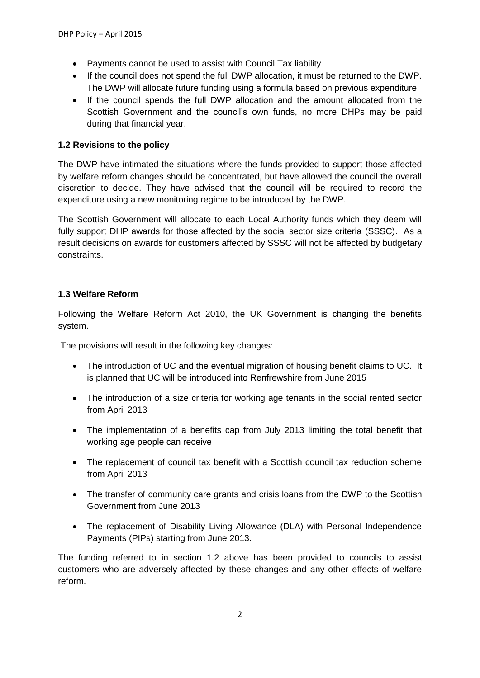- Payments cannot be used to assist with Council Tax liability
- If the council does not spend the full DWP allocation, it must be returned to the DWP. The DWP will allocate future funding using a formula based on previous expenditure
- If the council spends the full DWP allocation and the amount allocated from the Scottish Government and the council's own funds, no more DHPs may be paid during that financial year.

# **1.2 Revisions to the policy**

The DWP have intimated the situations where the funds provided to support those affected by welfare reform changes should be concentrated, but have allowed the council the overall discretion to decide. They have advised that the council will be required to record the expenditure using a new monitoring regime to be introduced by the DWP.

The Scottish Government will allocate to each Local Authority funds which they deem will fully support DHP awards for those affected by the social sector size criteria (SSSC). As a result decisions on awards for customers affected by SSSC will not be affected by budgetary constraints.

# **1.3 Welfare Reform**

Following the Welfare Reform Act 2010, the UK Government is changing the benefits system.

The provisions will result in the following key changes:

- The introduction of UC and the eventual migration of housing benefit claims to UC. It is planned that UC will be introduced into Renfrewshire from June 2015
- The introduction of a size criteria for working age tenants in the social rented sector from April 2013
- The implementation of a benefits cap from July 2013 limiting the total benefit that working age people can receive
- The replacement of council tax benefit with a Scottish council tax reduction scheme from April 2013
- The transfer of community care grants and crisis loans from the DWP to the Scottish Government from June 2013
- The replacement of Disability Living Allowance (DLA) with Personal Independence Payments (PIPs) starting from June 2013.

The funding referred to in section 1.2 above has been provided to councils to assist customers who are adversely affected by these changes and any other effects of welfare reform.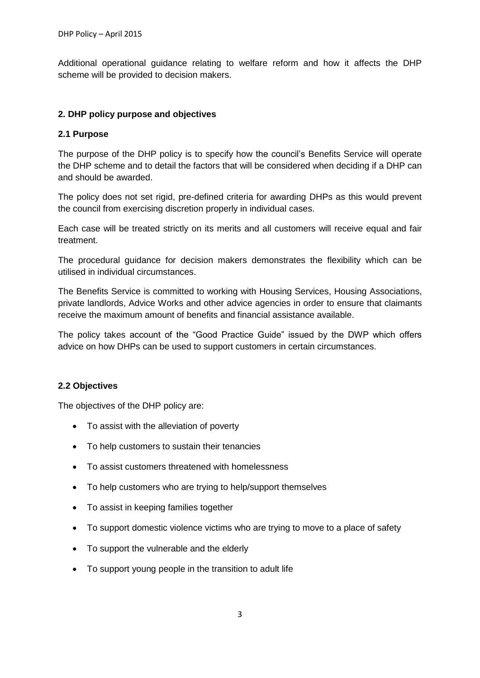Additional operational guidance relating to welfare reform and how it affects the DHP scheme will be provided to decision makers.

### **2. DHP policy purpose and objectives**

#### **2.1 Purpose**

The purpose of the DHP policy is to specify how the council's Benefits Service will operate the DHP scheme and to detail the factors that will be considered when deciding if a DHP can and should be awarded.

The policy does not set rigid, pre-defined criteria for awarding DHPs as this would prevent the council from exercising discretion properly in individual cases.

Each case will be treated strictly on its merits and all customers will receive equal and fair treatment.

The procedural guidance for decision makers demonstrates the flexibility which can be utilised in individual circumstances.

The Benefits Service is committed to working with Housing Services, Housing Associations, private landlords, Advice Works and other advice agencies in order to ensure that claimants receive the maximum amount of benefits and financial assistance available.

The policy takes account of the "Good Practice Guide" issued by the DWP which offers advice on how DHPs can be used to support customers in certain circumstances.

#### **2.2 Objectives**

The objectives of the DHP policy are:

- To assist with the alleviation of poverty
- To help customers to sustain their tenancies
- To assist customers threatened with homelessness
- To help customers who are trying to help/support themselves
- To assist in keeping families together
- To support domestic violence victims who are trying to move to a place of safety
- To support the vulnerable and the elderly
- To support young people in the transition to adult life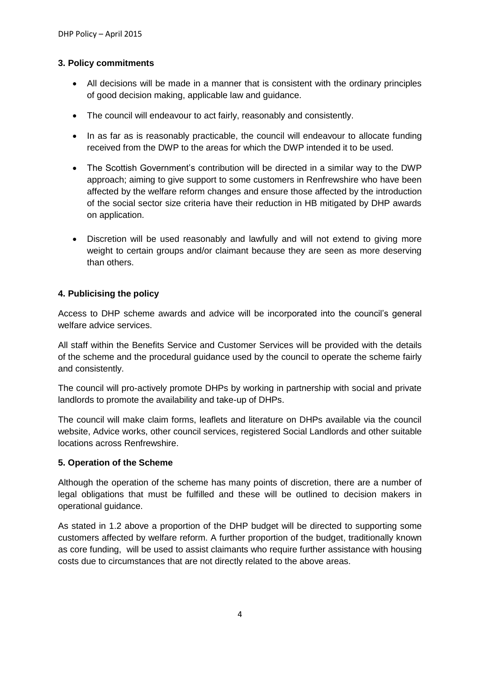### **3. Policy commitments**

- All decisions will be made in a manner that is consistent with the ordinary principles of good decision making, applicable law and guidance.
- The council will endeavour to act fairly, reasonably and consistently.
- In as far as is reasonably practicable, the council will endeavour to allocate funding received from the DWP to the areas for which the DWP intended it to be used.
- The Scottish Government's contribution will be directed in a similar way to the DWP approach; aiming to give support to some customers in Renfrewshire who have been affected by the welfare reform changes and ensure those affected by the introduction of the social sector size criteria have their reduction in HB mitigated by DHP awards on application.
- Discretion will be used reasonably and lawfully and will not extend to giving more weight to certain groups and/or claimant because they are seen as more deserving than others.

### **4. Publicising the policy**

Access to DHP scheme awards and advice will be incorporated into the council's general welfare advice services.

All staff within the Benefits Service and Customer Services will be provided with the details of the scheme and the procedural guidance used by the council to operate the scheme fairly and consistently.

The council will pro-actively promote DHPs by working in partnership with social and private landlords to promote the availability and take-up of DHPs.

The council will make claim forms, leaflets and literature on DHPs available via the council website, Advice works, other council services, registered Social Landlords and other suitable locations across Renfrewshire.

#### **5. Operation of the Scheme**

Although the operation of the scheme has many points of discretion, there are a number of legal obligations that must be fulfilled and these will be outlined to decision makers in operational guidance.

As stated in 1.2 above a proportion of the DHP budget will be directed to supporting some customers affected by welfare reform. A further proportion of the budget, traditionally known as core funding, will be used to assist claimants who require further assistance with housing costs due to circumstances that are not directly related to the above areas.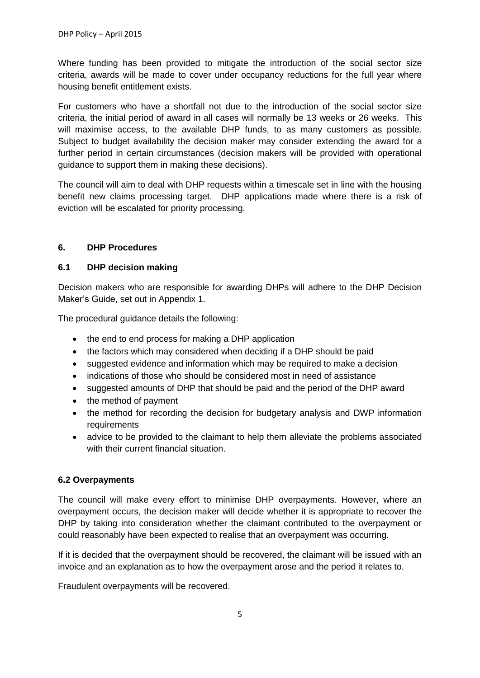Where funding has been provided to mitigate the introduction of the social sector size criteria, awards will be made to cover under occupancy reductions for the full year where housing benefit entitlement exists.

For customers who have a shortfall not due to the introduction of the social sector size criteria, the initial period of award in all cases will normally be 13 weeks or 26 weeks. This will maximise access, to the available DHP funds, to as many customers as possible. Subject to budget availability the decision maker may consider extending the award for a further period in certain circumstances (decision makers will be provided with operational guidance to support them in making these decisions).

The council will aim to deal with DHP requests within a timescale set in line with the housing benefit new claims processing target. DHP applications made where there is a risk of eviction will be escalated for priority processing.

## **6. DHP Procedures**

## **6.1 DHP decision making**

Decision makers who are responsible for awarding DHPs will adhere to the DHP Decision Maker's Guide, set out in Appendix 1.

The procedural guidance details the following:

- the end to end process for making a DHP application
- the factors which may considered when deciding if a DHP should be paid
- suggested evidence and information which may be required to make a decision
- indications of those who should be considered most in need of assistance
- suggested amounts of DHP that should be paid and the period of the DHP award
- the method of payment
- the method for recording the decision for budgetary analysis and DWP information requirements
- advice to be provided to the claimant to help them alleviate the problems associated with their current financial situation.

## **6.2 Overpayments**

The council will make every effort to minimise DHP overpayments. However, where an overpayment occurs, the decision maker will decide whether it is appropriate to recover the DHP by taking into consideration whether the claimant contributed to the overpayment or could reasonably have been expected to realise that an overpayment was occurring.

If it is decided that the overpayment should be recovered, the claimant will be issued with an invoice and an explanation as to how the overpayment arose and the period it relates to.

Fraudulent overpayments will be recovered.